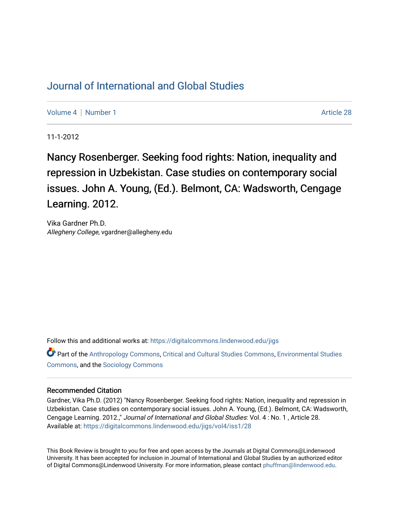## [Journal of International and Global Studies](https://digitalcommons.lindenwood.edu/jigs)

[Volume 4](https://digitalcommons.lindenwood.edu/jigs/vol4) | [Number 1](https://digitalcommons.lindenwood.edu/jigs/vol4/iss1) Article 28

11-1-2012

Nancy Rosenberger. Seeking food rights: Nation, inequality and repression in Uzbekistan. Case studies on contemporary social issues. John A. Young, (Ed.). Belmont, CA: Wadsworth, Cengage Learning. 2012.

Vika Gardner Ph.D. Allegheny College, vgardner@allegheny.edu

Follow this and additional works at: [https://digitalcommons.lindenwood.edu/jigs](https://digitalcommons.lindenwood.edu/jigs?utm_source=digitalcommons.lindenwood.edu%2Fjigs%2Fvol4%2Fiss1%2F28&utm_medium=PDF&utm_campaign=PDFCoverPages) 

Part of the [Anthropology Commons](http://network.bepress.com/hgg/discipline/318?utm_source=digitalcommons.lindenwood.edu%2Fjigs%2Fvol4%2Fiss1%2F28&utm_medium=PDF&utm_campaign=PDFCoverPages), [Critical and Cultural Studies Commons](http://network.bepress.com/hgg/discipline/328?utm_source=digitalcommons.lindenwood.edu%2Fjigs%2Fvol4%2Fiss1%2F28&utm_medium=PDF&utm_campaign=PDFCoverPages), [Environmental Studies](http://network.bepress.com/hgg/discipline/1333?utm_source=digitalcommons.lindenwood.edu%2Fjigs%2Fvol4%2Fiss1%2F28&utm_medium=PDF&utm_campaign=PDFCoverPages)  [Commons](http://network.bepress.com/hgg/discipline/1333?utm_source=digitalcommons.lindenwood.edu%2Fjigs%2Fvol4%2Fiss1%2F28&utm_medium=PDF&utm_campaign=PDFCoverPages), and the [Sociology Commons](http://network.bepress.com/hgg/discipline/416?utm_source=digitalcommons.lindenwood.edu%2Fjigs%2Fvol4%2Fiss1%2F28&utm_medium=PDF&utm_campaign=PDFCoverPages)

## Recommended Citation

Gardner, Vika Ph.D. (2012) "Nancy Rosenberger. Seeking food rights: Nation, inequality and repression in Uzbekistan. Case studies on contemporary social issues. John A. Young, (Ed.). Belmont, CA: Wadsworth, Cengage Learning. 2012.," Journal of International and Global Studies: Vol. 4 : No. 1 , Article 28. Available at: [https://digitalcommons.lindenwood.edu/jigs/vol4/iss1/28](https://digitalcommons.lindenwood.edu/jigs/vol4/iss1/28?utm_source=digitalcommons.lindenwood.edu%2Fjigs%2Fvol4%2Fiss1%2F28&utm_medium=PDF&utm_campaign=PDFCoverPages) 

This Book Review is brought to you for free and open access by the Journals at Digital Commons@Lindenwood University. It has been accepted for inclusion in Journal of International and Global Studies by an authorized editor of Digital Commons@Lindenwood University. For more information, please contact [phuffman@lindenwood.edu](mailto:phuffman@lindenwood.edu).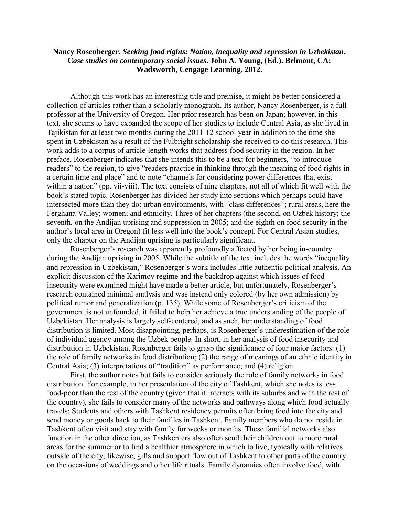## **Nancy Rosenberger.** *Seeking food rights: Nation, inequality and repression in Uzbekistan***. C***ase studies on contemporary social issues***. John A. Young, (Ed.). Belmont, CA: Wadsworth, Cengage Learning. 2012.**

 Although this work has an interesting title and premise, it might be better considered a collection of articles rather than a scholarly monograph. Its author, Nancy Rosenberger, is a full professor at the University of Oregon. Her prior research has been on Japan; however, in this text, she seems to have expanded the scope of her studies to include Central Asia, as she lived in Tajikistan for at least two months during the 2011-12 school year in addition to the time she spent in Uzbekistan as a result of the Fulbright scholarship she received to do this research. This work adds to a corpus of article-length works that address food security in the region. In her preface, Rosenberger indicates that she intends this to be a text for beginners, "to introduce readers" to the region, to give "readers practice in thinking through the meaning of food rights in a certain time and place" and to note "channels for considering power differences that exist within a nation" (pp. vii-viii). The text consists of nine chapters, not all of which fit well with the book's stated topic. Rosenberger has divided her study into sections which perhaps could have intersected more than they do: urban environments, with "class differences"; rural areas, here the Ferghana Valley; women; and ethnicity. Three of her chapters (the second, on Uzbek history; the seventh, on the Andijan uprising and suppression in 2005; and the eighth on food security in the author's local area in Oregon) fit less well into the book's concept. For Central Asian studies, only the chapter on the Andijan uprising is particularly significant.

 Rosenberger's research was apparently profoundly affected by her being in-country during the Andijan uprising in 2005. While the subtitle of the text includes the words "inequality and repression in Uzbekistan," Rosenberger's work includes little authentic political analysis. An explicit discussion of the Karimov regime and the backdrop against which issues of food insecurity were examined might have made a better article, but unfortunately, Rosenberger's research contained minimal analysis and was instead only colored (by her own admission) by political rumor and generalization (p. 135). While some of Rosenberger's criticism of the government is not unfounded, it failed to help her achieve a true understanding of the people of Uzbekistan. Her analysis is largely self-centered, and as such, her understanding of food distribution is limited. Most disappointing, perhaps, is Rosenberger's underestimation of the role of individual agency among the Uzbek people. In short, in her analysis of food insecurity and distribution in Uzbekistan, Rosenberger fails to grasp the significance of four major factors: (1) the role of family networks in food distribution; (2) the range of meanings of an ethnic identity in Central Asia; (3) interpretations of "tradition" as performance; and (4) religion.

 First, the author notes but fails to consider seriously the role of family networks in food distribution. For example, in her presentation of the city of Tashkent, which she notes is less food-poor than the rest of the country (given that it interacts with its suburbs and with the rest of the country), she fails to consider many of the networks and pathways along which food actually travels: Students and others with Tashkent residency permits often bring food into the city and send money or goods back to their families in Tashkent. Family members who do not reside in Tashkent often visit and stay with family for weeks or months. These familial networks also function in the other direction, as Tashkenters also often send their children out to more rural areas for the summer or to find a healthier atmosphere in which to live, typically with relatives outside of the city; likewise, gifts and support flow out of Tashkent to other parts of the country on the occasions of weddings and other life rituals. Family dynamics often involve food, with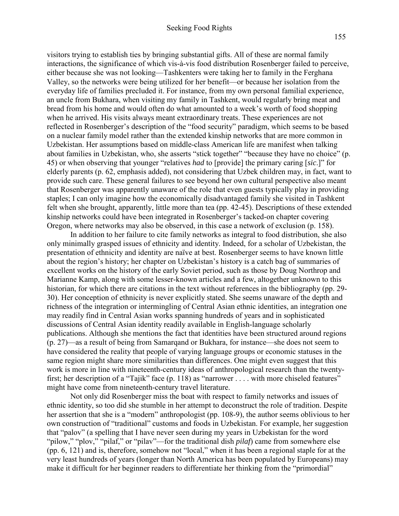visitors trying to establish ties by bringing substantial gifts. All of these are normal family interactions, the significance of which vis-à-vis food distribution Rosenberger failed to perceive, either because she was not looking—Tashkenters were taking her to family in the Ferghana Valley, so the networks were being utilized for her benefit—or because her isolation from the everyday life of families precluded it. For instance, from my own personal familial experience, an uncle from Bukhara, when visiting my family in Tashkent, would regularly bring meat and bread from his home and would often do what amounted to a week's worth of food shopping when he arrived. His visits always meant extraordinary treats. These experiences are not reflected in Rosenberger's description of the "food security" paradigm, which seems to be based on a nuclear family model rather than the extended kinship networks that are more common in Uzbekistan. Her assumptions based on middle-class American life are manifest when talking about families in Uzbekistan, who, she asserts "stick together" "because they have no choice" (p. 45) or when observing that younger "relatives *had* to [provide] the primary caring [*sic*.]" for elderly parents (p. 62, emphasis added), not considering that Uzbek children may, in fact, want to provide such care. These general failures to see beyond her own cultural perspective also meant that Rosenberger was apparently unaware of the role that even guests typically play in providing staples; I can only imagine how the economically disadvantaged family she visited in Tashkent felt when she brought, apparently, little more than tea (pp. 42-45). Descriptions of these extended kinship networks could have been integrated in Rosenberger's tacked-on chapter covering Oregon, where networks may also be observed, in this case a network of exclusion (p. 158).

In addition to her failure to cite family networks as integral to food distribution, she also only minimally grasped issues of ethnicity and identity. Indeed, for a scholar of Uzbekistan, the presentation of ethnicity and identity are naïve at best. Rosenberger seems to have known little about the region's history; her chapter on Uzbekistan's history is a catch bag of summaries of excellent works on the history of the early Soviet period, such as those by Doug Northrop and Marianne Kamp, along with some lesser-known articles and a few, altogether unknown to this historian, for which there are citations in the text without references in the bibliography (pp. 29- 30). Her conception of ethnicity is never explicitly stated. She seems unaware of the depth and richness of the integration or intermingling of Central Asian ethnic identities, an integration one may readily find in Central Asian works spanning hundreds of years and in sophisticated discussions of Central Asian identity readily available in English-language scholarly publications. Although she mentions the fact that identities have been structured around regions (p. 27)—as a result of being from Samarqand or Bukhara, for instance—she does not seem to have considered the reality that people of varying language groups or economic statuses in the same region might share more similarities than differences. One might even suggest that this work is more in line with nineteenth-century ideas of anthropological research than the twentyfirst; her description of a "Tajik" face (p. 118) as "narrower . . . . with more chiseled features" might have come from nineteenth-century travel literature.

 Not only did Rosenberger miss the boat with respect to family networks and issues of ethnic identity, so too did she stumble in her attempt to deconstruct the role of tradition. Despite her assertion that she is a "modern" anthropologist (pp. 108-9), the author seems oblivious to her own construction of "traditional" customs and foods in Uzbekistan. For example, her suggestion that "palov" (a spelling that I have never seen during my years in Uzbekistan for the word "pilow," "plov," "pilaf," or "pilav"—for the traditional dish *pilaf*) came from somewhere else (pp. 6, 121) and is, therefore, somehow not "local," when it has been a regional staple for at the very least hundreds of years (longer than North America has been populated by Europeans) may make it difficult for her beginner readers to differentiate her thinking from the "primordial"